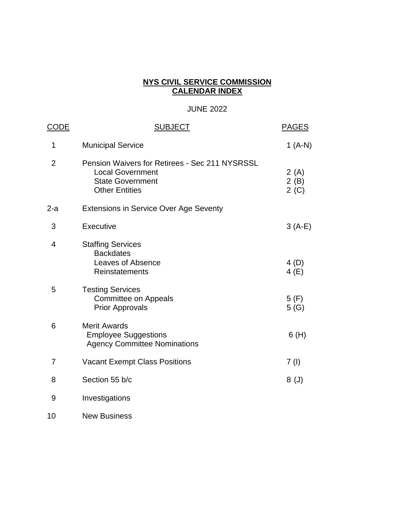#### **NYS CIVIL SERVICE COMMISSION CALENDAR INDEX**

## JUNE 2022

| <u>CODE</u> | <b>SUBJECT</b>                                                                                                                       | <b>PAGES</b>          |
|-------------|--------------------------------------------------------------------------------------------------------------------------------------|-----------------------|
| 1           | <b>Municipal Service</b>                                                                                                             | 1 (A-N)               |
| 2           | <b>Pension Waivers for Retirees - Sec 211 NYSRSSL</b><br><b>Local Government</b><br><b>State Government</b><br><b>Other Entities</b> | 2(A)<br>2(B)<br>2 (C) |
| 2-a         | <b>Extensions in Service Over Age Seventy</b>                                                                                        |                       |
| 3           | Executive                                                                                                                            | $3(A-E)$              |
| 4           | <b>Staffing Services</b><br><b>Backdates</b><br>Leaves of Absence<br>Reinstatements                                                  | 4(D)<br>4(E)          |
| 5           | <b>Testing Services</b><br><b>Committee on Appeals</b><br><b>Prior Approvals</b>                                                     | 5(F)<br>5(G)          |
| 6           | <b>Merit Awards</b><br><b>Employee Suggestions</b><br><b>Agency Committee Nominations</b>                                            | 6(H)                  |
| 7           | <b>Vacant Exempt Class Positions</b>                                                                                                 | 7(1)                  |
| 8           | Section 55 b/c                                                                                                                       | 8 <sup>(J)</sup>      |
| 9           | Investigations                                                                                                                       |                       |
| 10          | <b>New Business</b>                                                                                                                  |                       |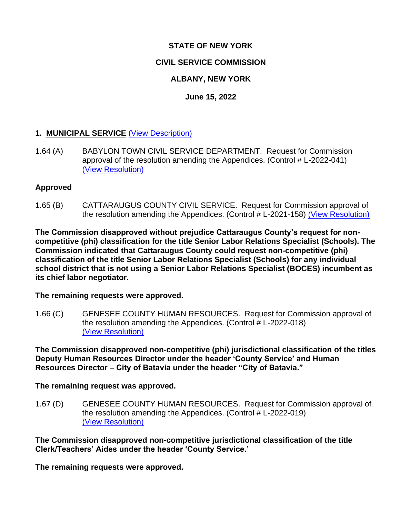## **STATE OF NEW YORK**

## **CIVIL SERVICE COMMISSION**

## **ALBANY, NEW YORK**

## **June 15, 2022**

## **1. MUNICIPAL SERVICE** [\(View Description\)](../Standard%20Calendar%20Language/Local%20Items.pdf)

1.64 (A) BABYLON TOWN CIVIL SERVICE DEPARTMENT. Request for Commission approval of the resolution amending the Appendices. (Control # L-2022-041) [\(View Resolution\)](../Local%20Resolutions-State%20JC)

#### **Approved**

1.65 (B) CATTARAUGUS COUNTY CIVIL SERVICE. Request for Commission approval of the resolution amending the Appendices. (Control # L-2021-158) [\(View Resolution\)](../Local%20Resolutions-State%20JC)

**The Commission disapproved without prejudice Cattaraugus County's request for noncompetitive (phi) classification for the title Senior Labor Relations Specialist (Schools). The Commission indicated that Cattaraugus County could request non-competitive (phi) classification of the title Senior Labor Relations Specialist (Schools) for any individual school district that is not using a Senior Labor Relations Specialist (BOCES) incumbent as its chief labor negotiator.**

**The remaining requests were approved.**

1.66 (C) GENESEE COUNTY HUMAN RESOURCES. Request for Commission approval of the resolution amending the Appendices. (Control # L-2022-018) [\(View Resolution\)](../Local%20Resolutions-State%20JC)

**The Commission disapproved non-competitive (phi) jurisdictional classification of the titles Deputy Human Resources Director under the header 'County Service' and Human Resources Director – City of Batavia under the header "City of Batavia."**

**The remaining request was approved.**

1.67 (D) GENESEE COUNTY HUMAN RESOURCES. Request for Commission approval of the resolution amending the Appendices. (Control # L-2022-019) [\(View Resolution\)](../Local%20Resolutions-State%20JC)

**The Commission disapproved non-competitive jurisdictional classification of the title Clerk/Teachers' Aides under the header 'County Service.'** 

**The remaining requests were approved.**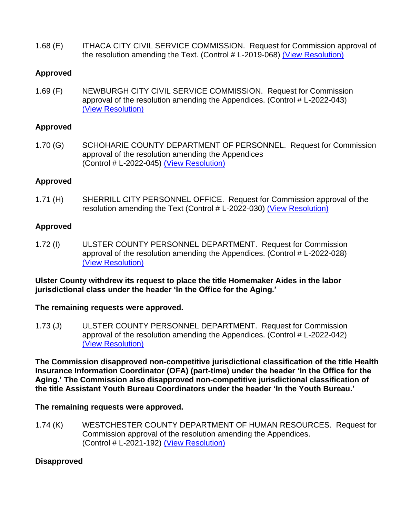1.68 (E) ITHACA CITY CIVIL SERVICE COMMISSION. Request for Commission approval of the resolution amending the Text. (Control # L-2019-068) [\(View Resolution\)](../Local%20Resolutions-State%20JC)

#### **Approved**

1.69 (F) NEWBURGH CITY CIVIL SERVICE COMMISSION. Request for Commission approval of the resolution amending the Appendices. (Control # L-2022-043) [\(View Resolution\)](../Local%20Resolutions-State%20JC)

#### **Approved**

1.70 (G) SCHOHARIE COUNTY DEPARTMENT OF PERSONNEL. Request for Commission approval of the resolution amending the Appendices (Control # L-2022-045) [\(View Resolution\)](../Local%20Resolutions-State%20JC)

#### **Approved**

1.71 (H) SHERRILL CITY PERSONNEL OFFICE. Request for Commission approval of the resolution amending the Text (Control # L-2022-030) [\(View Resolution\)](../Local%20Resolutions-State%20JC)

#### **Approved**

1.72 (I) ULSTER COUNTY PERSONNEL DEPARTMENT. Request for Commission approval of the resolution amending the Appendices. (Control # L-2022-028) [\(View Resolution\)](../Local%20Resolutions-State%20JC)

#### **Ulster County withdrew its request to place the title Homemaker Aides in the labor jurisdictional class under the header 'In the Office for the Aging.'**

#### **The remaining requests were approved.**

1.73 (J) ULSTER COUNTY PERSONNEL DEPARTMENT. Request for Commission approval of the resolution amending the Appendices. (Control # L-2022-042) [\(View Resolution\)](../Local%20Resolutions-State%20JC)

**The Commission disapproved non-competitive jurisdictional classification of the title Health Insurance Information Coordinator (OFA) (part-time) under the header 'In the Office for the Aging.' The Commission also disapproved non-competitive jurisdictional classification of the title Assistant Youth Bureau Coordinators under the header 'In the Youth Bureau.'** 

#### **The remaining requests were approved.**

1.74 (K) WESTCHESTER COUNTY DEPARTMENT OF HUMAN RESOURCES. Request for Commission approval of the resolution amending the Appendices. (Control # L-2021-192) [\(View Resolution\)](../Local%20Resolutions-State%20JC)

#### **Disapproved**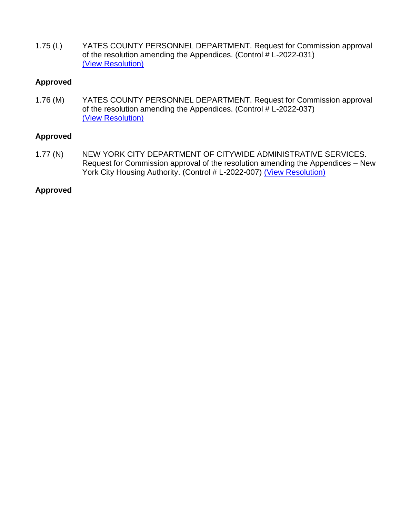1.75 (L) YATES COUNTY PERSONNEL DEPARTMENT. Request for Commission approval of the resolution amending the Appendices. (Control  $\#$  L-2022-031) [\(View Resolution\)](../Local%20Resolutions-State%20JC)

## **Approved**

1.76 (M) YATES COUNTY PERSONNEL DEPARTMENT. Request for Commission approval of the resolution amending the Appendices. (Control  $#$  L-2022-037) [\(View Resolution\)](../Local%20Resolutions-State%20JC)

#### **Approved**

1.77 (N) NEW YORK CITY DEPARTMENT OF CITYWIDE ADMINISTRATIVE SERVICES. Request for Commission approval of the resolution amending the Appendices – New York City Housing Authority. (Control # L-2022-007) [\(View Resolution\)](../Local%20Resolutions-State%20JC)

#### **Approved**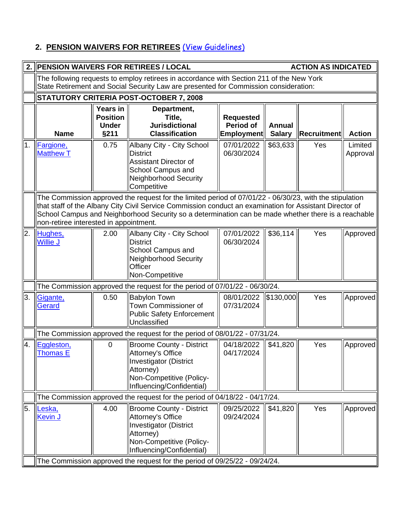## **2. PENSION WAIVERS FOR RETIREES** [\(View Guidelines\)](file://///dcs-smb/dcs_shared/adm/CommOpsMun/Commission%20-%20State/Calendars%20-%20NYN&Appeals/211guidelines.cfm)

| 2.  | <b>ACTION AS INDICATED</b><br><b>PENSION WAIVERS FOR RETIREES / LOCAL</b>                                                                                                                                                                                                                                                                                           |                                                            |                                                                                                                                                                                  |                                                    |                                |                    |                     |
|-----|---------------------------------------------------------------------------------------------------------------------------------------------------------------------------------------------------------------------------------------------------------------------------------------------------------------------------------------------------------------------|------------------------------------------------------------|----------------------------------------------------------------------------------------------------------------------------------------------------------------------------------|----------------------------------------------------|--------------------------------|--------------------|---------------------|
|     |                                                                                                                                                                                                                                                                                                                                                                     |                                                            | The following requests to employ retirees in accordance with Section 211 of the New York<br>State Retirement and Social Security Law are presented for Commission consideration: |                                                    |                                |                    |                     |
|     |                                                                                                                                                                                                                                                                                                                                                                     | STATUTORY CRITERIA POST-OCTOBER 7, 2008                    |                                                                                                                                                                                  |                                                    |                                |                    |                     |
|     | <b>Name</b>                                                                                                                                                                                                                                                                                                                                                         | <b>Years in</b><br><b>Position</b><br><b>Under</b><br>§211 | Department,<br>Title,<br><b>Jurisdictional</b><br><b>Classification</b>                                                                                                          | <b>Requested</b><br>Period of<br><b>Employment</b> | <b>Annual</b><br><b>Salary</b> | <b>Recruitment</b> | <b>Action</b>       |
| 1.  | Fargione,<br><b>Matthew T</b>                                                                                                                                                                                                                                                                                                                                       | 0.75                                                       | Albany City - City School<br><b>District</b><br><b>Assistant Director of</b><br>School Campus and<br>Neighborhood Security<br>Competitive                                        | 07/01/2022<br>06/30/2024                           | \$63,633                       | Yes                | Limited<br>Approval |
|     | The Commission approved the request for the limited period of 07/01/22 - 06/30/23, with the stipulation<br>that staff of the Albany City Civil Service Commission conduct an examination for Assistant Director of<br>School Campus and Neighborhood Security so a determination can be made whether there is a reachable<br>non-retiree interested in appointment. |                                                            |                                                                                                                                                                                  |                                                    |                                |                    |                     |
| I2. | Hughes,<br><b>Willie J</b>                                                                                                                                                                                                                                                                                                                                          | 2.00                                                       | Albany City - City School<br><b>District</b><br>School Campus and<br>Neighborhood Security<br><b>Officer</b><br>Non-Competitive                                                  | 07/01/2022<br>06/30/2024                           | \$36,114                       | Yes                | Approved            |
|     |                                                                                                                                                                                                                                                                                                                                                                     |                                                            | The Commission approved the request for the period of 07/01/22 - 06/30/24.                                                                                                       |                                                    |                                |                    |                     |
| 3.  | Gigante,<br>Gerard                                                                                                                                                                                                                                                                                                                                                  | 0.50                                                       | <b>Babylon Town</b><br>Town Commissioner of<br><b>Public Safety Enforcement</b><br>Unclassified                                                                                  | 08/01/2022<br>07/31/2024                           | \$130,000                      | Yes                | Approved            |
|     |                                                                                                                                                                                                                                                                                                                                                                     |                                                            | The Commission approved the request for the period of 08/01/22 - 07/31/24.                                                                                                       |                                                    |                                |                    |                     |
| 4.  | Eggleston,<br><b>Thomas E</b>                                                                                                                                                                                                                                                                                                                                       | $\mathbf 0$                                                | <b>Broome County - District</b><br>Attorney's Office<br>Investigator (District<br>Attorney)<br>Non-Competitive (Policy-<br>Influencing/Confidential)                             | 04/18/2022<br>04/17/2024                           | \$41,820                       | Yes                | Approved            |
|     |                                                                                                                                                                                                                                                                                                                                                                     |                                                            | The Commission approved the request for the period of 04/18/22 - 04/17/24.                                                                                                       |                                                    |                                |                    |                     |
| 5.  | Leska,<br><b>Kevin J</b>                                                                                                                                                                                                                                                                                                                                            | 4.00                                                       | Broome County - District<br>Attorney's Office<br><b>Investigator (District</b><br>Attorney)<br>Non-Competitive (Policy-<br>Influencing/Confidential)                             | 09/25/2022<br>09/24/2024                           | \$41,820                       | Yes                | Approved            |
|     |                                                                                                                                                                                                                                                                                                                                                                     |                                                            | The Commission approved the request for the period of 09/25/22 - 09/24/24.                                                                                                       |                                                    |                                |                    |                     |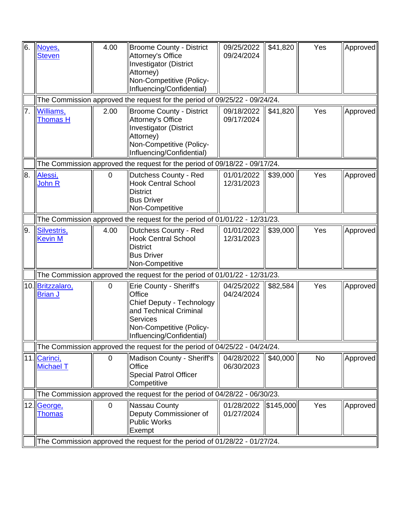| 6.  | Noves,<br><b>Steven</b>            | 4.00           | <b>Broome County - District</b><br>Attorney's Office<br><b>Investigator (District</b><br>Attorney)<br>Non-Competitive (Policy-<br>Influencing/Confidential)            | 09/25/2022<br>09/24/2024 | \$41,820  | Yes | Approved |
|-----|------------------------------------|----------------|------------------------------------------------------------------------------------------------------------------------------------------------------------------------|--------------------------|-----------|-----|----------|
|     |                                    |                | The Commission approved the request for the period of 09/25/22 - 09/24/24.                                                                                             |                          |           |     |          |
| 7.  | Williams,<br><b>Thomas H</b>       | 2.00           | Broome County - District<br><b>Attorney's Office</b><br><b>Investigator (District</b><br>Attorney)<br>Non-Competitive (Policy-<br>Influencing/Confidential)            | 09/18/2022<br>09/17/2024 | \$41,820  | Yes | Approved |
|     |                                    |                | The Commission approved the request for the period of 09/18/22 - 09/17/24.                                                                                             |                          |           |     |          |
| 8.  | Alessi,<br><b>John R</b>           | 0              | Dutchess County - Red<br><b>Hook Central School</b><br><b>District</b><br><b>Bus Driver</b><br>Non-Competitive                                                         | 01/01/2022<br>12/31/2023 | \$39,000  | Yes | Approved |
|     |                                    |                | The Commission approved the request for the period of 01/01/22 - 12/31/23.                                                                                             |                          |           |     |          |
| I9. | Silvestris,<br><b>Kevin M</b>      | 4.00           | Dutchess County - Red<br><b>Hook Central School</b><br><b>District</b><br><b>Bus Driver</b><br>Non-Competitive                                                         | 01/01/2022<br>12/31/2023 | \$39,000  | Yes | Approved |
|     |                                    |                | The Commission approved the request for the period of 01/01/22 - 12/31/23.                                                                                             |                          |           |     |          |
|     | 10. Britzzalaro,<br><b>Brian J</b> | $\mathbf 0$    | Erie County - Sheriff's<br>Office<br>Chief Deputy - Technology<br>and Technical Criminal<br><b>Services</b><br>Non-Competitive (Policy-<br>  Influencing/Confidential) | 04/25/2022<br>04/24/2024 | \$82,584  | Yes | Approved |
|     |                                    |                | The Commission approved the request for the period of 04/25/22 - 04/24/24.                                                                                             |                          |           |     |          |
|     | 11. Carinci,<br><b>Michael T</b>   | $\mathbf 0$    | Madison County - Sheriff's<br>Office<br><b>Special Patrol Officer</b><br>Competitive                                                                                   | 04/28/2022<br>06/30/2023 | \$40,000  | No  | Approved |
|     |                                    |                | The Commission approved the request for the period of 04/28/22 - 06/30/23.                                                                                             |                          |           |     |          |
|     | 12. George,<br><b>Thomas</b>       | $\overline{0}$ | Nassau County<br>Deputy Commissioner of<br><b>Public Works</b><br>Exempt                                                                                               | 01/28/2022<br>01/27/2024 | \$145,000 | Yes | Approved |
|     |                                    |                | The Commission approved the request for the period of 01/28/22 - 01/27/24.                                                                                             |                          |           |     |          |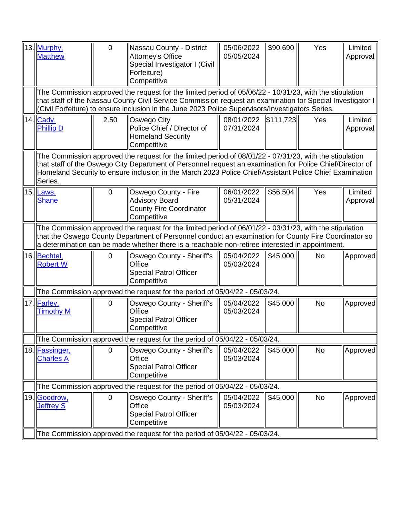| 13. Murphy,<br><b>Matthew</b>      | $\overline{0}$ | Nassau County - District<br>Attorney's Office<br>Special Investigator I (Civil<br>Forfeiture)<br>Competitive                                                                                                                                                                                                                    | 05/06/2022<br>05/05/2024 | \$90,690          | Yes       | Limited<br>Approval |
|------------------------------------|----------------|---------------------------------------------------------------------------------------------------------------------------------------------------------------------------------------------------------------------------------------------------------------------------------------------------------------------------------|--------------------------|-------------------|-----------|---------------------|
|                                    |                | The Commission approved the request for the limited period of 05/06/22 - 10/31/23, with the stipulation<br>that staff of the Nassau County Civil Service Commission request an examination for Special Investigator I<br>(Civil Forfeiture) to ensure inclusion in the June 2023 Police Supervisors/Investigators Series.       |                          |                   |           |                     |
| 14. Cady,<br><b>Phillip D</b>      | 2.50           | Oswego City<br>Police Chief / Director of<br><b>Homeland Security</b><br>Competitive                                                                                                                                                                                                                                            | 08/01/2022<br>07/31/2024 | $\  $111, 723 \ $ | Yes       | Limited<br>Approval |
| Series.                            |                | The Commission approved the request for the limited period of 08/01/22 - 07/31/23, with the stipulation<br>that staff of the Oswego City Department of Personnel request an examination for Police Chief/Director of<br>Homeland Security to ensure inclusion in the March 2023 Police Chief/Assistant Police Chief Examination |                          |                   |           |                     |
| 15. Laws,<br><b>Shane</b>          | 0              | Oswego County - Fire<br><b>Advisory Board</b><br><b>County Fire Coordinator</b><br>Competitive                                                                                                                                                                                                                                  | 06/01/2022<br>05/31/2024 | \$56,504          | Yes       | Limited<br>Approval |
|                                    |                | The Commission approved the request for the limited period of 06/01/22 - 03/31/23, with the stipulation<br>that the Oswego County Department of Personnel conduct an examination for County Fire Coordinator so<br>a determination can be made whether there is a reachable non-retiree interested in appointment.              |                          |                   |           |                     |
| 16. Bechtel,<br><b>Robert W</b>    | 0              | Oswego County - Sheriff's<br>Office<br><b>Special Patrol Officer</b><br>Competitive                                                                                                                                                                                                                                             | 05/04/2022<br>05/03/2024 | \$45,000          | <b>No</b> | Approved            |
|                                    |                | The Commission approved the request for the period of 05/04/22 - 05/03/24.                                                                                                                                                                                                                                                      |                          |                   |           |                     |
| 17. Farley,<br><b>Timothy M</b>    | $\mathbf 0$    | Oswego County - Sheriff's<br>Office<br><b>Special Patrol Officer</b><br>Competitive                                                                                                                                                                                                                                             | 05/04/2022<br>05/03/2024 | \$45,000          | <b>No</b> | Approved            |
|                                    |                | The Commission approved the request for the period of 05/04/22 - 05/03/24.                                                                                                                                                                                                                                                      |                          |                   |           |                     |
| 18. Fassinger,<br><b>Charles A</b> | $\mathbf 0$    | Oswego County - Sheriff's<br>Office<br><b>Special Patrol Officer</b><br>Competitive                                                                                                                                                                                                                                             | 05/04/2022<br>05/03/2024 | \$45,000          | <b>No</b> | Approved            |
|                                    |                | The Commission approved the request for the period of 05/04/22 - 05/03/24.                                                                                                                                                                                                                                                      |                          |                   |           |                     |
| 19. Goodrow,<br><b>Jeffrey S</b>   | 0              | Oswego County - Sheriff's<br>Office<br><b>Special Patrol Officer</b><br>Competitive                                                                                                                                                                                                                                             | 05/04/2022<br>05/03/2024 | \$45,000          | <b>No</b> | Approved            |
|                                    |                | The Commission approved the request for the period of 05/04/22 - 05/03/24.                                                                                                                                                                                                                                                      |                          |                   |           |                     |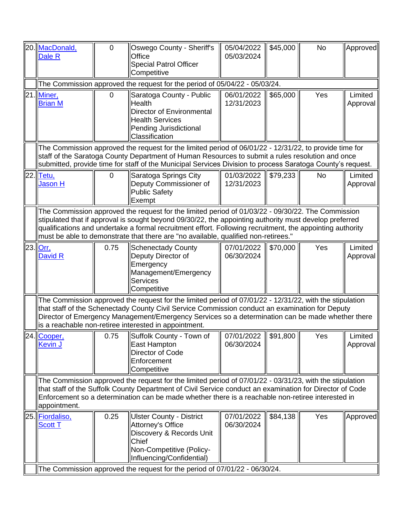| 20.  <u>MacDonald,</u><br>Dale R                                                                                                                                                                                                                                                                                                                                                                               | $\overline{0}$ | Oswego County - Sheriff's<br>Office<br><b>Special Patrol Officer</b><br>Competitive                                                                                                                                                                                                                                                                                     | 05/04/2022<br>05/03/2024 | \$45,000 | <b>No</b> | Approved            |
|----------------------------------------------------------------------------------------------------------------------------------------------------------------------------------------------------------------------------------------------------------------------------------------------------------------------------------------------------------------------------------------------------------------|----------------|-------------------------------------------------------------------------------------------------------------------------------------------------------------------------------------------------------------------------------------------------------------------------------------------------------------------------------------------------------------------------|--------------------------|----------|-----------|---------------------|
|                                                                                                                                                                                                                                                                                                                                                                                                                |                | The Commission approved the request for the period of 05/04/22 - 05/03/24.                                                                                                                                                                                                                                                                                              |                          |          |           |                     |
| 21. Miner,<br><b>Brian M</b>                                                                                                                                                                                                                                                                                                                                                                                   | 0              | Saratoga County - Public<br><b>Health</b><br><b>Director of Environmental</b><br><b>Health Services</b><br>Pending Jurisdictional<br>Classification                                                                                                                                                                                                                     | 06/01/2022<br>12/31/2023 | \$65,000 | Yes       | Limited<br>Approval |
|                                                                                                                                                                                                                                                                                                                                                                                                                |                | The Commission approved the request for the limited period of 06/01/22 - 12/31/22, to provide time for<br>staff of the Saratoga County Department of Human Resources to submit a rules resolution and once<br>submitted, provide time for staff of the Municipal Services Division to process Saratoga County's request.                                                |                          |          |           |                     |
| 22. Tetu,<br><b>Jason H</b>                                                                                                                                                                                                                                                                                                                                                                                    | $\overline{0}$ | Saratoga Springs City<br>Deputy Commissioner of<br><b>Public Safety</b><br>Exempt                                                                                                                                                                                                                                                                                       | 01/03/2022<br>12/31/2023 | \$79,233 | <b>No</b> | Limited<br>Approval |
| The Commission approved the request for the limited period of 01/03/22 - 09/30/22. The Commission<br>stipulated that if approval is sought beyond 09/30/22, the appointing authority must develop preferred<br>qualifications and undertake a formal recruitment effort. Following recruitment, the appointing authority<br>must be able to demonstrate that there are "no available, qualified non-retirees." |                |                                                                                                                                                                                                                                                                                                                                                                         |                          |          |           |                     |
| 23. Orr.<br>David R                                                                                                                                                                                                                                                                                                                                                                                            | 0.75           | <b>Schenectady County</b><br>Deputy Director of<br>Emergency<br>Management/Emergency<br><b>Services</b><br>Competitive                                                                                                                                                                                                                                                  | 07/01/2022<br>06/30/2024 | \$70,000 | Yes       | Limited<br>Approval |
|                                                                                                                                                                                                                                                                                                                                                                                                                |                | The Commission approved the request for the limited period of 07/01/22 - 12/31/22, with the stipulation<br>that staff of the Schenectady County Civil Service Commission conduct an examination for Deputy<br>Director of Emergency Management/Emergency Services so a determination can be made whether there<br>is a reachable non-retiree interested in appointment. |                          |          |           |                     |
| 24. Cooper,<br><b>Kevin J</b>                                                                                                                                                                                                                                                                                                                                                                                  |                | 0.75 Suffolk County - Town of 07/01/2022 \$91,800<br>East Hampton<br>Director of Code<br>Enforcement<br>Competitive                                                                                                                                                                                                                                                     | 06/30/2024               |          | Yes       | Limited<br>Approval |
| The Commission approved the request for the limited period of 07/01/22 - 03/31/23, with the stipulation<br>that staff of the Suffolk County Department of Civil Service conduct an examination for Director of Code<br>Enforcement so a determination can be made whether there is a reachable non-retiree interested in<br>appointment.                                                                       |                |                                                                                                                                                                                                                                                                                                                                                                         |                          |          |           |                     |
| 25. Fiordaliso,<br><b>Scott T</b>                                                                                                                                                                                                                                                                                                                                                                              | 0.25           | <b>Ulster County - District</b><br>Attorney's Office<br>Discovery & Records Unit<br>Chief<br>Non-Competitive (Policy-<br>Influencing/Confidential)                                                                                                                                                                                                                      | 07/01/2022<br>06/30/2024 | \$84,138 | Yes       | Approved            |
|                                                                                                                                                                                                                                                                                                                                                                                                                |                | The Commission approved the request for the period of 07/01/22 - 06/30/24.                                                                                                                                                                                                                                                                                              |                          |          |           |                     |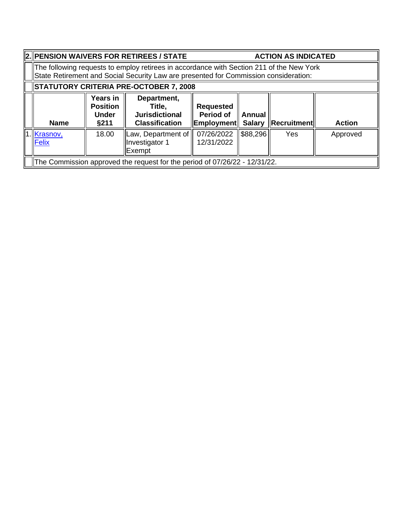| 2. PENSION WAIVERS FOR RETIREES / STATE                                                                                                                                          |                                                     |                                                                            | <b>ACTION AS INDICATED</b>           |          |                               |               |
|----------------------------------------------------------------------------------------------------------------------------------------------------------------------------------|-----------------------------------------------------|----------------------------------------------------------------------------|--------------------------------------|----------|-------------------------------|---------------|
| The following requests to employ retirees in accordance with Section 211 of the New York<br>State Retirement and Social Security Law are presented for Commission consideration: |                                                     |                                                                            |                                      |          |                               |               |
| STATUTORY CRITERIA PRE-OCTOBER 7, 2008                                                                                                                                           |                                                     |                                                                            |                                      |          |                               |               |
| <b>Name</b>                                                                                                                                                                      | Years in<br><b>Position</b><br><b>Under</b><br>§211 | Department,<br>Title,<br><b>Jurisdictional</b><br><b>Classification</b>    | <b>Requested</b><br><b>Period of</b> | Annual   | Employment Salary Recruitment | <b>Action</b> |
| .1. <u>Krasnov,</u><br>Felix                                                                                                                                                     | 18.00                                               | Law, Department of<br>Investigator 1<br>Exempt                             | 07/26/2022<br>12/31/2022             | \$88,296 | <b>Yes</b>                    | Approved      |
|                                                                                                                                                                                  |                                                     | The Commission approved the request for the period of 07/26/22 - 12/31/22. |                                      |          |                               |               |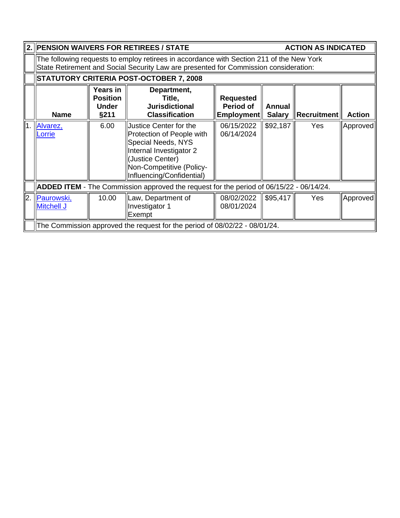| 2.        |                                                                                                                                                                                  |                                                            | <b>PENSION WAIVERS FOR RETIREES / STATE</b>                                                                                                                                              |                                                    |                                | <b>ACTION AS INDICATED</b> |               |
|-----------|----------------------------------------------------------------------------------------------------------------------------------------------------------------------------------|------------------------------------------------------------|------------------------------------------------------------------------------------------------------------------------------------------------------------------------------------------|----------------------------------------------------|--------------------------------|----------------------------|---------------|
|           | The following requests to employ retirees in accordance with Section 211 of the New York<br>State Retirement and Social Security Law are presented for Commission consideration: |                                                            |                                                                                                                                                                                          |                                                    |                                |                            |               |
|           |                                                                                                                                                                                  |                                                            | <b>STATUTORY CRITERIA POST-OCTOBER 7, 2008</b>                                                                                                                                           |                                                    |                                |                            |               |
|           | <b>Name</b>                                                                                                                                                                      | <b>Years in</b><br><b>Position</b><br><b>Under</b><br>§211 | Department,<br>Title,<br><b>Jurisdictional</b><br><b>Classification</b>                                                                                                                  | <b>Requested</b><br><b>Period of</b><br>Employment | <b>Annual</b><br><b>Salary</b> | <b>Recruitment</b>         | <b>Action</b> |
| 1.        | Alvarez,<br>Lorrie                                                                                                                                                               | 6.00                                                       | <b>Justice Center for the</b><br>Protection of People with<br>Special Needs, NYS<br>Internal Investigator 2<br>(Justice Center)<br>Non-Competitive (Policy-<br>Influencing/Confidential) | 06/15/2022<br>06/14/2024                           | \$92,187                       | Yes                        | Approved      |
|           |                                                                                                                                                                                  |                                                            | ADDED ITEM - The Commission approved the request for the period of 06/15/22 - 06/14/24.                                                                                                  |                                                    |                                |                            |               |
| <b>2.</b> | Paurowski,<br><b>Mitchell J</b>                                                                                                                                                  | 10.00                                                      | Law, Department of<br>Investigator 1<br>Exempt                                                                                                                                           | 08/02/2022<br>08/01/2024                           | \$95,417                       | Yes                        | Approved      |
|           |                                                                                                                                                                                  |                                                            | The Commission approved the request for the period of 08/02/22 - 08/01/24.                                                                                                               |                                                    |                                |                            |               |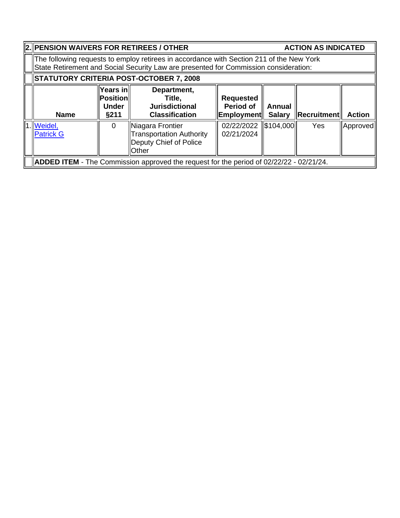|                                                                                                                                                                                                                                               | 2. PENSION WAIVERS FOR RETIREES / OTHER |                                                                                                |                          |           |            | <b>ACTION AS INDICATED</b> |
|-----------------------------------------------------------------------------------------------------------------------------------------------------------------------------------------------------------------------------------------------|-----------------------------------------|------------------------------------------------------------------------------------------------|--------------------------|-----------|------------|----------------------------|
| The following requests to employ retirees in accordance with Section 211 of the New York<br>State Retirement and Social Security Law are presented for Commission consideration:                                                              |                                         |                                                                                                |                          |           |            |                            |
| STATUTORY CRITERIA POST-OCTOBER 7, 2008                                                                                                                                                                                                       |                                         |                                                                                                |                          |           |            |                            |
| Years in<br>Department,<br>Position<br>Title.<br><b>Requested</b><br><b>Period of</b><br><b>Under</b><br><b>Jurisdictional</b><br>Annual<br>Recruitment<br><b>Employment</b><br><b>Classification</b><br><b>Salary</b><br><b>Name</b><br>§211 |                                         |                                                                                                |                          |           |            | <b>Action</b>              |
| 1. Weidel,<br><b>Patrick G</b>                                                                                                                                                                                                                | $\Omega$                                | Niagara Frontier<br><b>Transportation Authority</b><br>Deputy Chief of Police<br>Other         | 02/22/2022<br>02/21/2024 | \$104,000 | <b>Yes</b> | Approved                   |
|                                                                                                                                                                                                                                               |                                         | <b>ADDED ITEM</b> - The Commission approved the request for the period of 02/22/22 - 02/21/24. |                          |           |            |                            |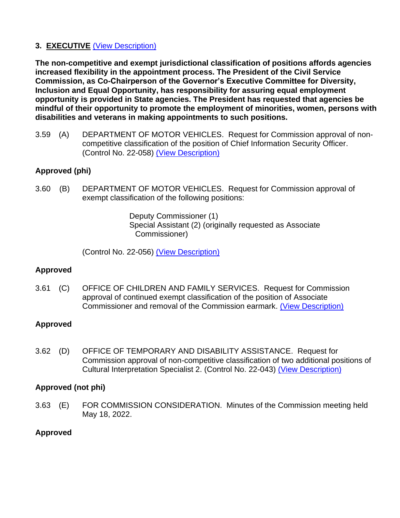## **3. EXECUTIVE** [\(View Description\)](../Standard%20Calendar%20Language/State%20Items.pdf)

**The non-competitive and exempt jurisdictional classification of positions affords agencies increased flexibility in the appointment process. The President of the Civil Service Commission, as Co-Chairperson of the Governor's Executive Committee for Diversity, Inclusion and Equal Opportunity, has responsibility for assuring equal employment opportunity is provided in State agencies. The President has requested that agencies be mindful of their opportunity to promote the employment of minorities, women, persons with disabilities and veterans in making appointments to such positions.**

3.59 (A) DEPARTMENT OF MOTOR VEHICLES. Request for Commission approval of noncompetitive classification of the position of Chief Information Security Officer. (Control No. 22-058) [\(View Description\)](../Local%20Resolutions-State%20JC)

## **Approved (phi)**

3.60 (B) DEPARTMENT OF MOTOR VEHICLES. Request for Commission approval of exempt classification of the following positions:

> Deputy Commissioner (1) Special Assistant (2) (originally requested as Associate Commissioner)

(Control No. 22-056) [\(View Description\)](../Local%20Resolutions-State%20JC)

## **Approved**

3.61 (C) OFFICE OF CHILDREN AND FAMILY SERVICES. Request for Commission approval of continued exempt classification of the position of Associate Commissioner and removal of the Commission earmark. [\(View Description\)](../Local%20Resolutions-State%20JC)

## **Approved**

3.62 (D) OFFICE OF TEMPORARY AND DISABILITY ASSISTANCE. Request for Commission approval of non-competitive classification of two additional positions of Cultural Interpretation Specialist 2. (Control No. 22-043) [\(View Description\)](../Local%20Resolutions-State%20JC)

## **Approved (not phi)**

3.63 (E) FOR COMMISSION CONSIDERATION. Minutes of the Commission meeting held May 18, 2022.

## **Approved**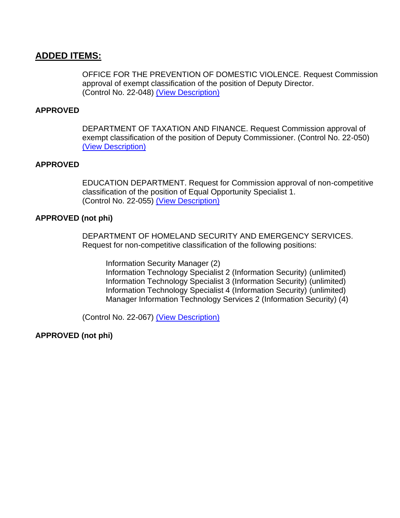## **ADDED ITEMS:**

OFFICE FOR THE PREVENTION OF DOMESTIC VIOLENCE. Request Commission approval of exempt classification of the position of Deputy Director. (Control No. 22-048) [\(View Description\)](../Local%20Resolutions-State%20JC)

#### **APPROVED**

DEPARTMENT OF TAXATION AND FINANCE. Request Commission approval of exempt classification of the position of Deputy Commissioner. (Control No. 22-050) [\(View Description\)](../Local%20Resolutions-State%20JC)

#### **APPROVED**

EDUCATION DEPARTMENT. Request for Commission approval of non-competitive classification of the position of Equal Opportunity Specialist 1. (Control No. 22-055) [\(View Description\)](../Local%20Resolutions-State%20JC)

#### **APPROVED (not phi)**

DEPARTMENT OF HOMELAND SECURITY AND EMERGENCY SERVICES. Request for non-competitive classification of the following positions:

Information Security Manager (2) Information Technology Specialist 2 (Information Security) (unlimited) Information Technology Specialist 3 (Information Security) (unlimited) Information Technology Specialist 4 (Information Security) (unlimited) Manager Information Technology Services 2 (Information Security) (4)

(Control No. 22-067) [\(View Description\)](../Local%20Resolutions-State%20JC)

**APPROVED (not phi)**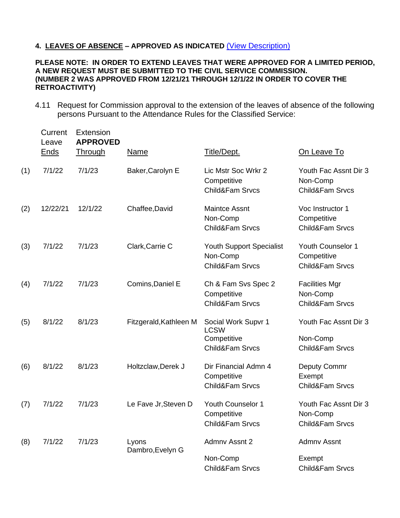#### **4. LEAVES OF ABSENCE – APPROVED AS INDICATED** [\(View Description\)](../211guidelines.cfm)

#### **PLEASE NOTE: IN ORDER TO EXTEND LEAVES THAT WERE APPROVED FOR A LIMITED PERIOD, A NEW REQUEST MUST BE SUBMITTED TO THE CIVIL SERVICE COMMISSION. (NUMBER 2 WAS APPROVED FROM 12/21/21 THROUGH 12/1/22 IN ORDER TO COVER THE RETROACTIVITY)**

4.11 Request for Commission approval to the extension of the leaves of absence of the following persons Pursuant to the Attendance Rules for the Classified Service:

|     | Current<br>Leave<br><u>Ends</u> | Extension<br><b>APPROVED</b><br><b>Through</b> | Name                      | Title/Dept.                                                          | On Leave To                                                     |
|-----|---------------------------------|------------------------------------------------|---------------------------|----------------------------------------------------------------------|-----------------------------------------------------------------|
| (1) | 7/1/22                          | 7/1/23                                         | Baker, Carolyn E          | Lic Mstr Soc Wrkr 2<br>Competitive<br>Child&Fam Srvcs                | Youth Fac Assnt Dir 3<br>Non-Comp<br><b>Child&amp;Fam Srvcs</b> |
| (2) | 12/22/21                        | 12/1/22                                        | Chaffee, David            | <b>Maintce Assnt</b><br>Non-Comp<br>Child&Fam Srvcs                  | Voc Instructor 1<br>Competitive<br><b>Child&amp;Fam Srvcs</b>   |
| (3) | 7/1/22                          | 7/1/23                                         | Clark, Carrie C           | <b>Youth Support Specialist</b><br>Non-Comp<br>Child&Fam Srvcs       | Youth Counselor 1<br>Competitive<br>Child&Fam Srvcs             |
| (4) | 7/1/22                          | 7/1/23                                         | Comins, Daniel E          | Ch & Fam Svs Spec 2<br>Competitive<br>Child&Fam Srvcs                | <b>Facilities Mgr</b><br>Non-Comp<br><b>Child&amp;Fam Srvcs</b> |
| (5) | 8/1/22                          | 8/1/23                                         | Fitzgerald, Kathleen M    | Social Work Supvr 1<br><b>LCSW</b><br>Competitive<br>Child&Fam Srvcs | Youth Fac Assnt Dir 3<br>Non-Comp<br>Child&Fam Srvcs            |
| (6) | 8/1/22                          | 8/1/23                                         | Holtzclaw, Derek J        | Dir Financial Admn 4<br>Competitive<br>Child&Fam Srvcs               | Deputy Commr<br>Exempt<br>Child&Fam Srvcs                       |
| (7) | 7/1/22                          | 7/1/23                                         | Le Fave Jr, Steven D      | <b>Youth Counselor 1</b><br>Competitive<br>Child&Fam Srvcs           | Youth Fac Assnt Dir 3<br>Non-Comp<br>Child&Fam Srvcs            |
| (8) | 7/1/22                          | 7/1/23                                         | Lyons<br>Dambro, Evelyn G | Admny Assnt 2<br>Non-Comp<br>Child&Fam Srvcs                         | <b>Admny Assnt</b><br>Exempt<br>Child&Fam Srvcs                 |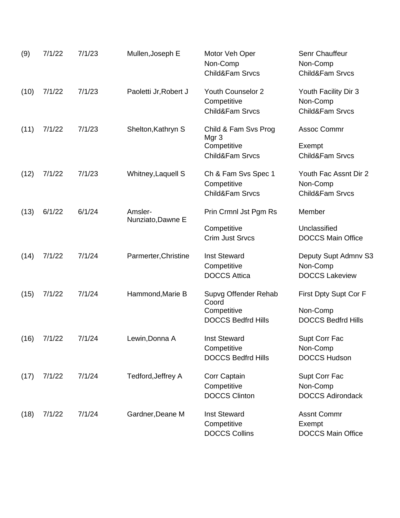| (9)  | 7/1/22 | 7/1/23 | Mullen, Joseph E      | Motor Veh Oper<br>Non-Comp<br>Child&Fam Srvcs                              | Senr Chauffeur<br>Non-Comp<br>Child&Fam Srvcs                  |
|------|--------|--------|-----------------------|----------------------------------------------------------------------------|----------------------------------------------------------------|
| (10) | 7/1/22 | 7/1/23 | Paoletti Jr, Robert J | <b>Youth Counselor 2</b><br>Competitive<br>Child&Fam Srvcs                 | Youth Facility Dir 3<br>Non-Comp<br>Child&Fam Srvcs            |
| (11) | 7/1/22 | 7/1/23 | Shelton, Kathryn S    | Child & Fam Svs Prog<br>Mgr <sub>3</sub><br>Competitive<br>Child&Fam Srvcs | Assoc Commr<br>Exempt<br><b>Child&amp;Fam Srvcs</b>            |
| (12) | 7/1/22 | 7/1/23 | Whitney, Laquell S    | Ch & Fam Svs Spec 1<br>Competitive<br>Child&Fam Srvcs                      | Youth Fac Assnt Dir 2<br>Non-Comp<br>Child&Fam Srvcs           |
| (13) | 6/1/22 | 6/1/24 | Amsler-               | Prin Crmnl Jst Pgm Rs                                                      | Member                                                         |
|      |        |        | Nunziato, Dawne E     | Competitive<br><b>Crim Just Srvcs</b>                                      | Unclassified<br><b>DOCCS Main Office</b>                       |
| (14) | 7/1/22 | 7/1/24 | Parmerter, Christine  | <b>Inst Steward</b><br>Competitive<br><b>DOCCS Attica</b>                  | Deputy Supt Admnv S3<br>Non-Comp<br><b>DOCCS Lakeview</b>      |
| (15) | 7/1/22 | 7/1/24 | Hammond, Marie B      | Supvg Offender Rehab<br>Coord<br>Competitive<br><b>DOCCS Bedfrd Hills</b>  | First Dpty Supt Cor F<br>Non-Comp<br><b>DOCCS Bedfrd Hills</b> |
| (16) | 7/1/22 | 7/1/24 | Lewin, Donna A        | <b>Inst Steward</b><br>Competitive<br><b>DOCCS Bedfrd Hills</b>            | Supt Corr Fac<br>Non-Comp<br><b>DOCCS Hudson</b>               |
| (17) | 7/1/22 | 7/1/24 | Tedford, Jeffrey A    | Corr Captain<br>Competitive<br><b>DOCCS Clinton</b>                        | Supt Corr Fac<br>Non-Comp<br><b>DOCCS Adirondack</b>           |
| (18) | 7/1/22 | 7/1/24 | Gardner, Deane M      | <b>Inst Steward</b><br>Competitive<br><b>DOCCS Collins</b>                 | <b>Assnt Commr</b><br>Exempt<br><b>DOCCS Main Office</b>       |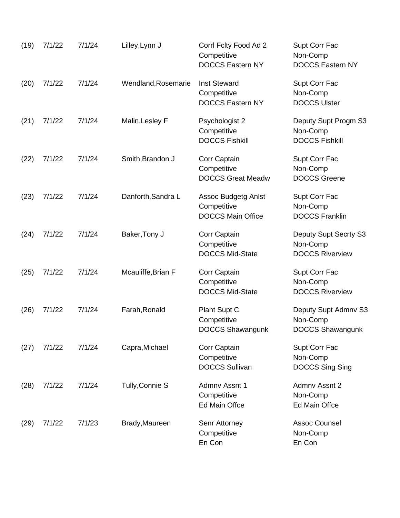| (19) | 7/1/22 | 7/1/24 | Lilley, Lynn J      | Corrl Fclty Food Ad 2<br>Competitive<br><b>DOCCS Eastern NY</b>       | Supt Corr Fac<br>Non-Comp<br><b>DOCCS Eastern NY</b>        |
|------|--------|--------|---------------------|-----------------------------------------------------------------------|-------------------------------------------------------------|
| (20) | 7/1/22 | 7/1/24 | Wendland, Rosemarie | <b>Inst Steward</b><br>Competitive<br><b>DOCCS Eastern NY</b>         | Supt Corr Fac<br>Non-Comp<br><b>DOCCS Ulster</b>            |
| (21) | 7/1/22 | 7/1/24 | Malin, Lesley F     | Psychologist 2<br>Competitive<br><b>DOCCS Fishkill</b>                | Deputy Supt Progm S3<br>Non-Comp<br><b>DOCCS Fishkill</b>   |
| (22) | 7/1/22 | 7/1/24 | Smith, Brandon J    | Corr Captain<br>Competitive<br><b>DOCCS Great Meadw</b>               | Supt Corr Fac<br>Non-Comp<br><b>DOCCS Greene</b>            |
| (23) | 7/1/22 | 7/1/24 | Danforth, Sandra L  | <b>Assoc Budgetg Anlst</b><br>Competitive<br><b>DOCCS Main Office</b> | Supt Corr Fac<br>Non-Comp<br><b>DOCCS Franklin</b>          |
| (24) | 7/1/22 | 7/1/24 | Baker, Tony J       | Corr Captain<br>Competitive<br><b>DOCCS Mid-State</b>                 | Deputy Supt Secrty S3<br>Non-Comp<br><b>DOCCS Riverview</b> |
| (25) | 7/1/22 | 7/1/24 | Mcauliffe, Brian F  | Corr Captain<br>Competitive<br><b>DOCCS Mid-State</b>                 | Supt Corr Fac<br>Non-Comp<br><b>DOCCS Riverview</b>         |
| (26) | 7/1/22 | 7/1/24 | Farah, Ronald       | Plant Supt C<br>Competitive<br><b>DOCCS Shawangunk</b>                | Deputy Supt Admnv S3<br>Non-Comp<br>DOCCS Shawangunk        |
| (27) | 7/1/22 | 7/1/24 | Capra, Michael      | Corr Captain<br>Competitive<br><b>DOCCS Sullivan</b>                  | Supt Corr Fac<br>Non-Comp<br><b>DOCCS Sing Sing</b>         |
| (28) | 7/1/22 | 7/1/24 | Tully, Connie S     | Admny Assnt 1<br>Competitive<br><b>Ed Main Offce</b>                  | Admny Assnt 2<br>Non-Comp<br><b>Ed Main Offce</b>           |
| (29) | 7/1/22 | 7/1/23 | Brady, Maureen      | Senr Attorney<br>Competitive<br>En Con                                | <b>Assoc Counsel</b><br>Non-Comp<br>En Con                  |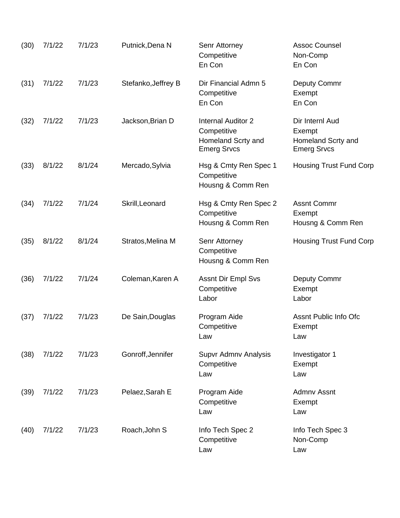| (30) | 7/1/22 | 7/1/23 | Putnick, Dena N     | Senr Attorney<br>Competitive<br>En Con                                        | <b>Assoc Counsel</b><br>Non-Comp<br>En Con                            |
|------|--------|--------|---------------------|-------------------------------------------------------------------------------|-----------------------------------------------------------------------|
| (31) | 7/1/22 | 7/1/23 | Stefanko, Jeffrey B | Dir Financial Admn 5<br>Competitive<br>En Con                                 | Deputy Commr<br>Exempt<br>En Con                                      |
| (32) | 7/1/22 | 7/1/23 | Jackson, Brian D    | Internal Auditor 2<br>Competitive<br>Homeland Scrty and<br><b>Emerg Srvcs</b> | Dir Internl Aud<br>Exempt<br>Homeland Scrty and<br><b>Emerg Srvcs</b> |
| (33) | 8/1/22 | 8/1/24 | Mercado, Sylvia     | Hsg & Cmty Ren Spec 1<br>Competitive<br>Housng & Comm Ren                     | <b>Housing Trust Fund Corp</b>                                        |
| (34) | 7/1/22 | 7/1/24 | Skrill, Leonard     | Hsg & Cmty Ren Spec 2<br>Competitive<br>Housng & Comm Ren                     | <b>Assnt Commr</b><br>Exempt<br>Housng & Comm Ren                     |
| (35) | 8/1/22 | 8/1/24 | Stratos, Melina M   | Senr Attorney<br>Competitive<br>Housng & Comm Ren                             | <b>Housing Trust Fund Corp</b>                                        |
| (36) | 7/1/22 | 7/1/24 | Coleman, Karen A    | <b>Assnt Dir Empl Svs</b><br>Competitive<br>Labor                             | Deputy Commr<br>Exempt<br>Labor                                       |
| (37) | 7/1/22 | 7/1/23 | De Sain, Douglas    | Program Aide<br>Competitive<br>Law                                            | Assnt Public Info Ofc<br>Exempt<br>Law                                |
| (38) | 7/1/22 | 7/1/23 | Gonroff, Jennifer   | Supvr Admnv Analysis<br>Competitive<br>Law                                    | Investigator 1<br>Exempt<br>Law                                       |
| (39) | 7/1/22 | 7/1/23 | Pelaez, Sarah E     | Program Aide<br>Competitive<br>Law                                            | <b>Admny Assnt</b><br>Exempt<br>Law                                   |
| (40) | 7/1/22 | 7/1/23 | Roach, John S       | Info Tech Spec 2<br>Competitive<br>Law                                        | Info Tech Spec 3<br>Non-Comp<br>Law                                   |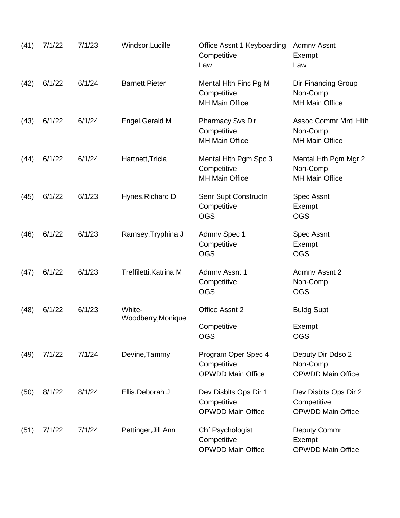| (41) | 7/1/22 | 7/1/23 | Windsor, Lucille             | Office Assnt 1 Keyboarding<br>Competitive<br>Law                 | Admny Assnt<br>Exempt<br>Law                                      |
|------|--------|--------|------------------------------|------------------------------------------------------------------|-------------------------------------------------------------------|
| (42) | 6/1/22 | 6/1/24 | Barnett, Pieter              | Mental Hith Finc Pg M<br>Competitive<br><b>MH Main Office</b>    | Dir Financing Group<br>Non-Comp<br><b>MH Main Office</b>          |
| (43) | 6/1/22 | 6/1/24 | Engel, Gerald M              | <b>Pharmacy Svs Dir</b><br>Competitive<br><b>MH Main Office</b>  | <b>Assoc Commr Mntl Hith</b><br>Non-Comp<br><b>MH Main Office</b> |
| (44) | 6/1/22 | 6/1/24 | Hartnett, Tricia             | Mental Hith Pgm Spc 3<br>Competitive<br><b>MH Main Office</b>    | Mental Hth Pgm Mgr 2<br>Non-Comp<br><b>MH Main Office</b>         |
| (45) | 6/1/22 | 6/1/23 | Hynes, Richard D             | Senr Supt Constructn<br>Competitive<br><b>OGS</b>                | <b>Spec Assnt</b><br>Exempt<br><b>OGS</b>                         |
| (46) | 6/1/22 | 6/1/23 | Ramsey, Tryphina J           | Admnv Spec 1<br>Competitive<br><b>OGS</b>                        | <b>Spec Assnt</b><br>Exempt<br><b>OGS</b>                         |
| (47) | 6/1/22 | 6/1/23 | Treffiletti, Katrina M       | <b>Admny Assnt 1</b><br>Competitive<br><b>OGS</b>                | Admny Assnt 2<br>Non-Comp<br><b>OGS</b>                           |
| (48) | 6/1/22 | 6/1/23 | White-<br>Woodberry, Monique | Office Assnt 2<br>Competitive<br>OGS                             | <b>Buldg Supt</b><br>Exempt<br><b>OGS</b>                         |
| (49) | 7/1/22 | 7/1/24 | Devine, Tammy                | Program Oper Spec 4<br>Competitive<br><b>OPWDD Main Office</b>   | Deputy Dir Ddso 2<br>Non-Comp<br><b>OPWDD Main Office</b>         |
| (50) | 8/1/22 | 8/1/24 | Ellis, Deborah J             | Dev Disblts Ops Dir 1<br>Competitive<br><b>OPWDD Main Office</b> | Dev Disblts Ops Dir 2<br>Competitive<br><b>OPWDD Main Office</b>  |
| (51) | 7/1/22 | 7/1/24 | Pettinger, Jill Ann          | Chf Psychologist<br>Competitive<br><b>OPWDD Main Office</b>      | <b>Deputy Commr</b><br>Exempt<br><b>OPWDD Main Office</b>         |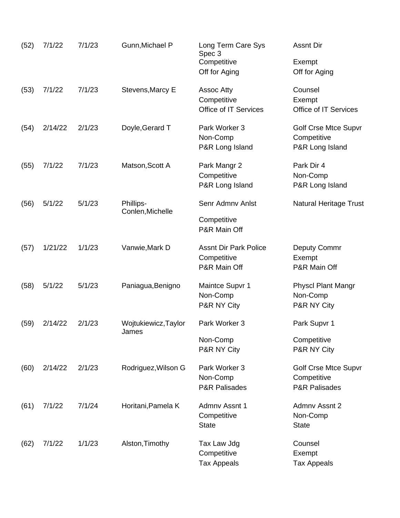| (52) | 7/1/22  | 7/1/23 | Gunn, Michael P               | Long Term Care Sys<br>Spec 3<br>Competitive  | <b>Assnt Dir</b><br>Exempt                                    |
|------|---------|--------|-------------------------------|----------------------------------------------|---------------------------------------------------------------|
|      |         |        |                               | Off for Aging                                | Off for Aging                                                 |
| (53) | 7/1/22  | 7/1/23 | Stevens, Marcy E              | Assoc Atty                                   | Counsel                                                       |
|      |         |        |                               | Competitive<br>Office of IT Services         | Exempt<br>Office of IT Services                               |
| (54) | 2/14/22 | 2/1/23 | Doyle, Gerard T               | Park Worker 3<br>Non-Comp<br>P&R Long Island | <b>Golf Crse Mtce Supvr</b><br>Competitive<br>P&R Long Island |
|      |         |        |                               |                                              |                                                               |
| (55) | 7/1/22  | 7/1/23 | Matson, Scott A               | Park Mangr 2<br>Competitive                  | Park Dir 4<br>Non-Comp                                        |
|      |         |        |                               | P&R Long Island                              | P&R Long Island                                               |
| (56) | 5/1/22  | 5/1/23 | Phillips-<br>Conlen, Michelle | Senr Admny Anlst                             | <b>Natural Heritage Trust</b>                                 |
|      |         |        |                               | Competitive<br>P&R Main Off                  |                                                               |
| (57) | 1/21/22 | 1/1/23 | Vanwie, Mark D                | <b>Assnt Dir Park Police</b>                 | Deputy Commr                                                  |
|      |         |        |                               | Competitive<br>P&R Main Off                  | Exempt<br>P&R Main Off                                        |
| (58) | 5/1/22  | 5/1/23 | Paniagua, Benigno             | Maintce Supvr 1                              | <b>Physcl Plant Mangr</b>                                     |
|      |         |        |                               | Non-Comp                                     | Non-Comp                                                      |
|      |         |        |                               | P&R NY City                                  | P&R NY City                                                   |
| (59) | 2/14/22 | 2/1/23 | Wojtukiewicz, Taylor<br>James | Park Worker 3                                | Park Supvr 1                                                  |
|      |         |        |                               | Non-Comp                                     | Competitive                                                   |
|      |         |        |                               | P&R NY City                                  | P&R NY City                                                   |
| (60) | 2/14/22 | 2/1/23 | Rodriguez, Wilson G           | Park Worker 3                                | <b>Golf Crse Mtce Supvr</b>                                   |
|      |         |        |                               | Non-Comp                                     | Competitive                                                   |
|      |         |        |                               | <b>P&amp;R Palisades</b>                     | <b>P&amp;R Palisades</b>                                      |
| (61) | 7/1/22  | 7/1/24 | Horitani, Pamela K            | Admny Assnt 1                                | Admny Assnt 2                                                 |
|      |         |        |                               | Competitive                                  | Non-Comp                                                      |
|      |         |        |                               | <b>State</b>                                 | <b>State</b>                                                  |
| (62) | 7/1/22  | 1/1/23 | Alston, Timothy               | Tax Law Jdg                                  | Counsel                                                       |
|      |         |        |                               | Competitive                                  | Exempt                                                        |
|      |         |        |                               | <b>Tax Appeals</b>                           | <b>Tax Appeals</b>                                            |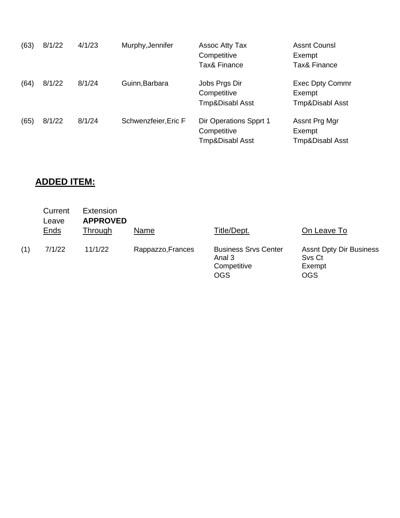| (63) | 8/1/22 | 4/1/23 | Murphy, Jennifer     | <b>Assoc Atty Tax</b><br>Competitive<br>Tax& Finance     | <b>Assnt Counsl</b><br>Exempt<br><b>Tax&amp; Finance</b> |
|------|--------|--------|----------------------|----------------------------------------------------------|----------------------------------------------------------|
| (64) | 8/1/22 | 8/1/24 | Guinn, Barbara       | Jobs Prgs Dir<br>Competitive<br>Tmp&Disabl Asst          | <b>Exec Dpty Commr</b><br>Exempt<br>Tmp&Disabl Asst      |
| (65) | 8/1/22 | 8/1/24 | Schwenzfeier, Eric F | Dir Operations Spprt 1<br>Competitive<br>Tmp&Disabl Asst | Assnt Prg Mgr<br>Exempt<br>Tmp&Disabl Asst               |

# **ADDED ITEM:**

|     | Current<br>Leave<br><b>Ends</b> | Extension<br><b>APPROVED</b><br>Through | Name              | Title/Dept.                                                        | On Leave To                                                      |
|-----|---------------------------------|-----------------------------------------|-------------------|--------------------------------------------------------------------|------------------------------------------------------------------|
| (1) | 7/1/22                          | 11/1/22                                 | Rappazzo, Frances | <b>Business Srvs Center</b><br>Anal 3<br>Competitive<br><b>OGS</b> | <b>Assnt Dpty Dir Business</b><br>Svs Ct<br>Exempt<br><b>OGS</b> |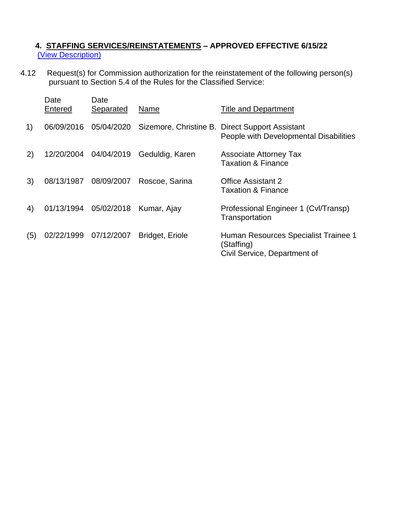## **4. STAFFING SERVICES/REINSTATEMENTS – APPROVED EFFECTIVE 6/15/22** [\(View Description\)](../Standard%20Calendar%20Language/Reinstatements.pdf)

4.12 Request(s) for Commission authorization for the reinstatement of the following person(s) pursuant to Section 5.4 of the Rules for the Classified Service:

|     | Date<br>Entered       | Date<br>Separated | Name                   | <b>Title and Department</b>                                                               |
|-----|-----------------------|-------------------|------------------------|-------------------------------------------------------------------------------------------|
| 1)  | 06/09/2016            | 05/04/2020        |                        | Sizemore, Christine B. Direct Support Assistant<br>People with Developmental Disabilities |
| 2)  | 12/20/2004 04/04/2019 |                   | Geduldig, Karen        | <b>Associate Attorney Tax</b><br><b>Taxation &amp; Finance</b>                            |
| 3)  | 08/13/1987            | 08/09/2007        | Roscoe, Sarina         | <b>Office Assistant 2</b><br><b>Taxation &amp; Finance</b>                                |
| 4)  | 01/13/1994 05/02/2018 |                   | Kumar, Ajay            | Professional Engineer 1 (Cvl/Transp)<br>Transportation                                    |
| (5) | 02/22/1999 07/12/2007 |                   | <b>Bridget, Eriole</b> | Human Resources Specialist Trainee 1<br>(Staffing)<br>Civil Service, Department of        |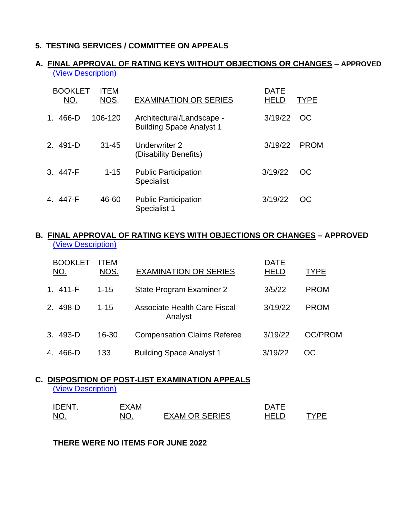## **5. TESTING SERVICES / COMMITTEE ON APPEALS**

## **A. FINAL APPROVAL OF RATING KEYS WITHOUT OBJECTIONS OR CHANGES – APPROVED** [\(View Description\)](../Standard%20Calendar%20Language/Rating%20Keys%20with%20and%20without%20objections.pdf)

| <b>BOOKLET</b><br>NO. | <b>ITEM</b><br>NOS. | <b>EXAMINATION OR SERIES</b>                                 | <b>DATE</b><br>HELD | TYPE        |
|-----------------------|---------------------|--------------------------------------------------------------|---------------------|-------------|
| 466-D<br>1.           | 106-120             | Architectural/Landscape -<br><b>Building Space Analyst 1</b> | 3/19/22             | OC          |
| 2. 491-D              | $31 - 45$           | Underwriter 2<br>(Disability Benefits)                       | 3/19/22             | <b>PROM</b> |
| 3. 447-F              | $1 - 15$            | <b>Public Participation</b><br><b>Specialist</b>             | 3/19/22             | OC          |
| 4. 447-F              | 46-60               | <b>Public Participation</b><br>Specialist 1                  | 3/19/22             | OC.         |

#### **B. FINAL APPROVAL OF RATING KEYS WITH OBJECTIONS OR CHANGES – APPROVED**  [\(View Description\)](../Standard%20Calendar%20Language/Rating%20Keys%20with%20and%20without%20objections.pdf)

| <b>BOOKLET</b><br>NO.  | <b>ITFM</b><br>NOS. | <b>EXAMINATION OR SERIES</b>                   | <b>DATE</b><br><b>HELD</b> | <b>TYPE</b>    |
|------------------------|---------------------|------------------------------------------------|----------------------------|----------------|
| 1.411-F                | $1 - 15$            | State Program Examiner 2                       | 3/5/22                     | <b>PROM</b>    |
| 498-D<br>$\mathcal{P}$ | $1 - 15$            | <b>Associate Health Care Fiscal</b><br>Analyst | 3/19/22                    | <b>PROM</b>    |
| 3. 493-D               | 16-30               | <b>Compensation Claims Referee</b>             | 3/19/22                    | <b>OC/PROM</b> |
| 466-D<br>4.            | 133                 | <b>Building Space Analyst 1</b>                | 3/19/22                    | <sub>OC</sub>  |

# **C. DISPOSITION OF POST-LIST EXAMINATION APPEALS**

[\(View Description\)](../Standard%20Calendar%20Language/Post-list%20Appeals.pdf)

| <b>IDENT</b>                               | FXAM |                       | <b>DATE</b> |      |
|--------------------------------------------|------|-----------------------|-------------|------|
| NO.<br>the contract of the contract of the |      | <b>EXAM OR SERIES</b> | HEL D       | 'VDF |

#### **THERE WERE NO ITEMS FOR JUNE 2022**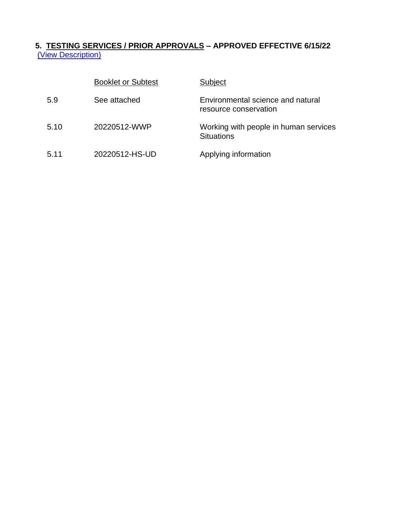## **5. TESTING SERVICES / PRIOR APPROVALS – APPROVED EFFECTIVE 6/15/22** [\(View Description\)](../Standard%20Calendar%20Language/Prior%20Approvals.pdf)

|      | <b>Booklet or Subtest</b> | Subject                                                    |
|------|---------------------------|------------------------------------------------------------|
| 5.9  | See attached              | Environmental science and natural<br>resource conservation |
| 5.10 | 20220512-WWP              | Working with people in human services<br><b>Situations</b> |
| 5.11 | 20220512-HS-UD            | Applying information                                       |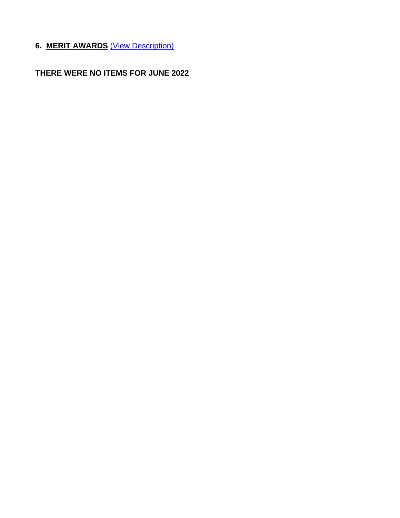**6. MERIT AWARDS** [\(View Description\)](../Standard%20Calendar%20Language/Merit%20Awards.pdf)

**THERE WERE NO ITEMS FOR JUNE 2022**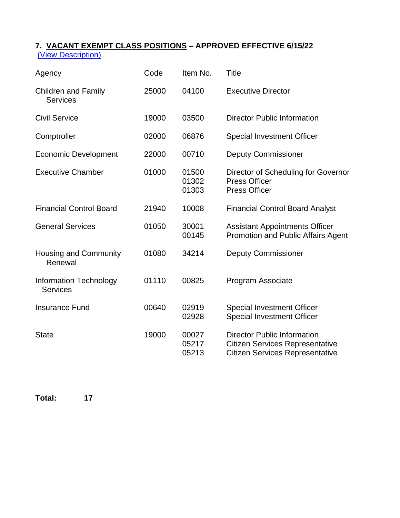## **7. VACANT EXEMPT CLASS POSITIONS – APPROVED EFFECTIVE 6/15/22** [\(View Description\)](../Standard%20Calendar%20Language/Vacant%20Exempts.pdf)

| <b>Agency</b>                                    | Code  | Item No.                | <b>Title</b>                                                                                                           |
|--------------------------------------------------|-------|-------------------------|------------------------------------------------------------------------------------------------------------------------|
| <b>Children and Family</b><br><b>Services</b>    | 25000 | 04100                   | <b>Executive Director</b>                                                                                              |
| <b>Civil Service</b>                             | 19000 | 03500                   | <b>Director Public Information</b>                                                                                     |
| Comptroller                                      | 02000 | 06876                   | <b>Special Investment Officer</b>                                                                                      |
| <b>Economic Development</b>                      | 22000 | 00710                   | <b>Deputy Commissioner</b>                                                                                             |
| <b>Executive Chamber</b>                         | 01000 | 01500<br>01302<br>01303 | Director of Scheduling for Governor<br><b>Press Officer</b><br><b>Press Officer</b>                                    |
| <b>Financial Control Board</b>                   | 21940 | 10008                   | <b>Financial Control Board Analyst</b>                                                                                 |
| <b>General Services</b>                          | 01050 | 30001<br>00145          | <b>Assistant Appointments Officer</b><br><b>Promotion and Public Affairs Agent</b>                                     |
| <b>Housing and Community</b><br>Renewal          | 01080 | 34214                   | <b>Deputy Commissioner</b>                                                                                             |
| <b>Information Technology</b><br><b>Services</b> | 01110 | 00825                   | Program Associate                                                                                                      |
| <b>Insurance Fund</b>                            | 00640 | 02919<br>02928          | <b>Special Investment Officer</b><br><b>Special Investment Officer</b>                                                 |
| <b>State</b>                                     | 19000 | 00027<br>05217<br>05213 | <b>Director Public Information</b><br><b>Citizen Services Representative</b><br><b>Citizen Services Representative</b> |

**Total: 17**